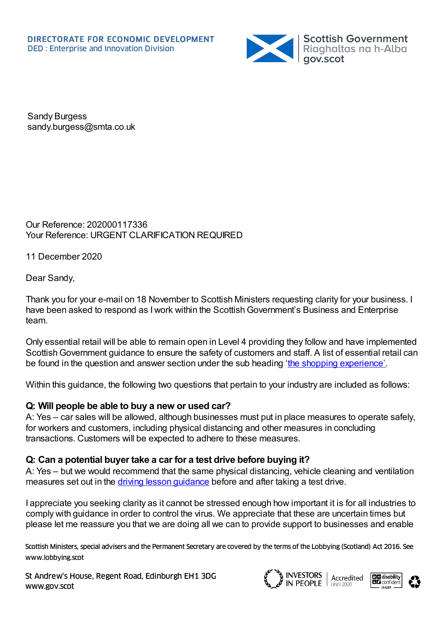

Sandy Burgess sandy.burgess@smta.co.uk

Our Reference: 202000117336 Your Reference: URGENT CLARIFICATION REQUIRED

11 December 2020

Dear Sandy,

Thank you for your e-mail on 18 November to Scottish Ministers requesting clarity for your business. I have been asked to respond as I work within the Scottish Government's Business and Enterprise team.

Only essential retail will be able to remain open in Level 4 providing they follow and have implemented Scottish Government guidance to ensure the safety of customers and staff. A list of essential retail can be found in the question and answer section under the sub heading 'the shopping [experience'](https://www.gov.scot/publications/coronavirus-covid-19-retail-sector-guidance/pages/close-contact-services-questions-and-answers/).

Within this guidance, the following two questions that pertain to your industry are included as follows:

## **Q: Will people be able to buy a new or used car?**

A: Yes – car sales will be allowed, although businesses must put in place measures to operate safely, for workers and customers, including physical distancing and other measures in concluding transactions. Customers will be expected to adhere to these measures.

## **Q: Can a potential buyer take a car for a test drive before buying it?**

A: Yes – but we would recommend that the same physical distancing, vehicle cleaning and ventilation measures set out in the driving lesson quidance before and after taking a test drive.

I appreciate you seeking clarity as it cannot be stressed enough how important it is for all industries to comply with guidance in order to control the virus. We appreciate that these are uncertain times but please let me reassure you that we are doing all we can to provide support to businesses and enable

Scottish Ministers, special advisers and the Permanent Secretary are covered by the terms of the Lobbying (Scotland) Act 2016. See www.lobbying.scot

St Andrew's House, Regent Road, Edinburgh EH1 3DG www.gov.scot